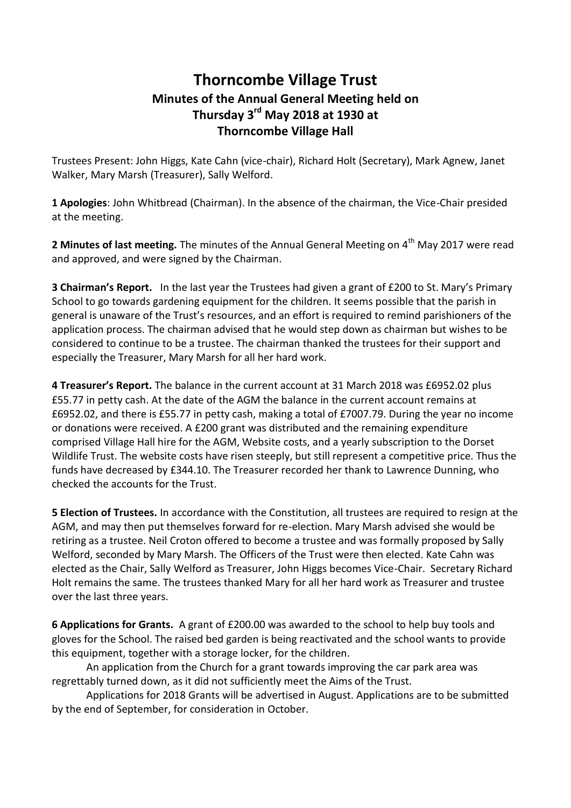## **Thorncombe Village Trust Minutes of the Annual General Meeting held on Thursday 3rd May 2018 at 1930 at Thorncombe Village Hall**

Trustees Present: John Higgs, Kate Cahn (vice-chair), Richard Holt (Secretary), Mark Agnew, Janet Walker, Mary Marsh (Treasurer), Sally Welford.

**1 Apologies**: John Whitbread (Chairman). In the absence of the chairman, the Vice-Chair presided at the meeting.

**2 Minutes of last meeting.** The minutes of the Annual General Meeting on 4<sup>th</sup> May 2017 were read and approved, and were signed by the Chairman.

**3 Chairman's Report.** In the last year the Trustees had given a grant of £200 to St. Mary's Primary School to go towards gardening equipment for the children. It seems possible that the parish in general is unaware of the Trust's resources, and an effort is required to remind parishioners of the application process. The chairman advised that he would step down as chairman but wishes to be considered to continue to be a trustee. The chairman thanked the trustees for their support and especially the Treasurer, Mary Marsh for all her hard work.

**4 Treasurer's Report.** The balance in the current account at 31 March 2018 was £6952.02 plus £55.77 in petty cash. At the date of the AGM the balance in the current account remains at £6952.02, and there is £55.77 in petty cash, making a total of £7007.79. During the year no income or donations were received. A £200 grant was distributed and the remaining expenditure comprised Village Hall hire for the AGM, Website costs, and a yearly subscription to the Dorset Wildlife Trust. The website costs have risen steeply, but still represent a competitive price. Thus the funds have decreased by £344.10. The Treasurer recorded her thank to Lawrence Dunning, who checked the accounts for the Trust.

**5 Election of Trustees.** In accordance with the Constitution, all trustees are required to resign at the AGM, and may then put themselves forward for re-election. Mary Marsh advised she would be retiring as a trustee. Neil Croton offered to become a trustee and was formally proposed by Sally Welford, seconded by Mary Marsh. The Officers of the Trust were then elected. Kate Cahn was elected as the Chair, Sally Welford as Treasurer, John Higgs becomes Vice-Chair. Secretary Richard Holt remains the same. The trustees thanked Mary for all her hard work as Treasurer and trustee over the last three years.

**6 Applications for Grants.** A grant of £200.00 was awarded to the school to help buy tools and gloves for the School. The raised bed garden is being reactivated and the school wants to provide this equipment, together with a storage locker, for the children.

An application from the Church for a grant towards improving the car park area was regrettably turned down, as it did not sufficiently meet the Aims of the Trust.

Applications for 2018 Grants will be advertised in August. Applications are to be submitted by the end of September, for consideration in October.